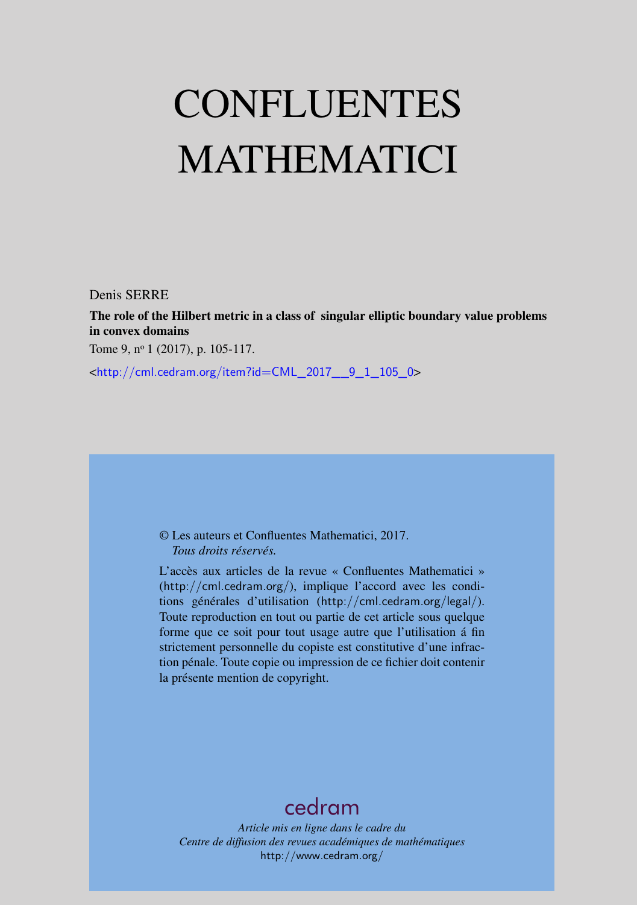# CONFLUENTES MATHEMATICI

Denis SERRE

The role of the Hilbert metric in a class of singular elliptic boundary value problems in convex domains

Tome 9, nº 1 (2017), p. 105-117.

<[http://cml.cedram.org/item?id=CML\\_2017\\_\\_9\\_1\\_105\\_0](http://cml.cedram.org/item?id=CML_2017__9_1_105_0)>

© Les auteurs et Confluentes Mathematici, 2017. *Tous droits réservés.*

L'accès aux articles de la revue « Confluentes Mathematici » (<http://cml.cedram.org/>), implique l'accord avec les conditions générales d'utilisation (<http://cml.cedram.org/legal/>). Toute reproduction en tout ou partie de cet article sous quelque forme que ce soit pour tout usage autre que l'utilisation á fin strictement personnelle du copiste est constitutive d'une infraction pénale. Toute copie ou impression de ce fichier doit contenir la présente mention de copyright.

## [cedram](http://www.cedram.org/)

*Article mis en ligne dans le cadre du Centre de diffusion des revues académiques de mathématiques* <http://www.cedram.org/>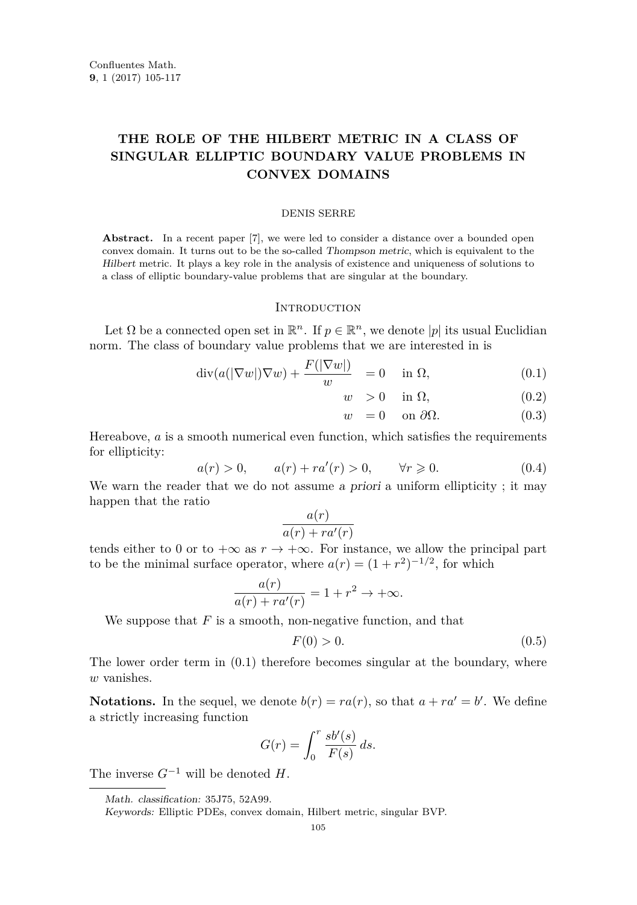### **THE ROLE OF THE HILBERT METRIC IN A CLASS OF SINGULAR ELLIPTIC BOUNDARY VALUE PROBLEMS IN CONVEX DOMAINS**

#### DENIS SERRE

Abstract. In a recent paper [\[7\]](#page-13-0), we were led to consider a distance over a bounded open convex domain. It turns out to be the so-called Thompson metric, which is equivalent to the Hilbert metric. It plays a key role in the analysis of existence and uniqueness of solutions to a class of elliptic boundary-value problems that are singular at the boundary.

#### **INTRODUCTION**

Let  $\Omega$  be a connected open set in  $\mathbb{R}^n$ . If  $p \in \mathbb{R}^n$ , we denote  $|p|$  its usual Euclidian norm. The class of boundary value problems that we are interested in is

<span id="page-1-0"></span>
$$
\operatorname{div}(a(|\nabla w|)\nabla w) + \frac{F(|\nabla w|)}{w} = 0 \quad \text{in } \Omega,
$$
\n(0.1)

$$
w > 0 \quad \text{in } \Omega,\tag{0.2}
$$

$$
w = 0 \quad \text{on } \partial \Omega. \tag{0.3}
$$

Hereabove, *a* is a smooth numerical even function, which satisfies the requirements for ellipticity:

<span id="page-1-1"></span>
$$
a(r) > 0,
$$
  $a(r) + ra'(r) > 0,$   $\forall r \ge 0.$  (0.4)

We warn the reader that we do not assume a priori a uniform ellipticity; it may happen that the ratio *a*(*r*)

$$
\frac{a(r)}{a(r) + ra'(r)}
$$

tends either to 0 or to  $+\infty$  as  $r \to +\infty$ . For instance, we allow the principal part to be the minimal surface operator, where  $a(r) = (1 + r^2)^{-1/2}$ , for which

$$
\frac{a(r)}{a(r) + ra'(r)} = 1 + r^2 \to +\infty.
$$

We suppose that *F* is a smooth, non-negative function, and that

<span id="page-1-2"></span>
$$
F(0) > 0. \tag{0.5}
$$

The lower order term in [\(0.1\)](#page-1-0) therefore becomes singular at the boundary, where *w* vanishes.

**Notations.** In the sequel, we denote  $b(r) = ra(r)$ , so that  $a + ra' = b'$ . We define a strictly increasing function

$$
G(r) = \int_0^r \frac{s b'(s)}{F(s)} ds.
$$

The inverse  $G^{-1}$  will be denoted  $H$ .

Math. classification: 35J75, 52A99.

Keywords: Elliptic PDEs, convex domain, Hilbert metric, singular BVP.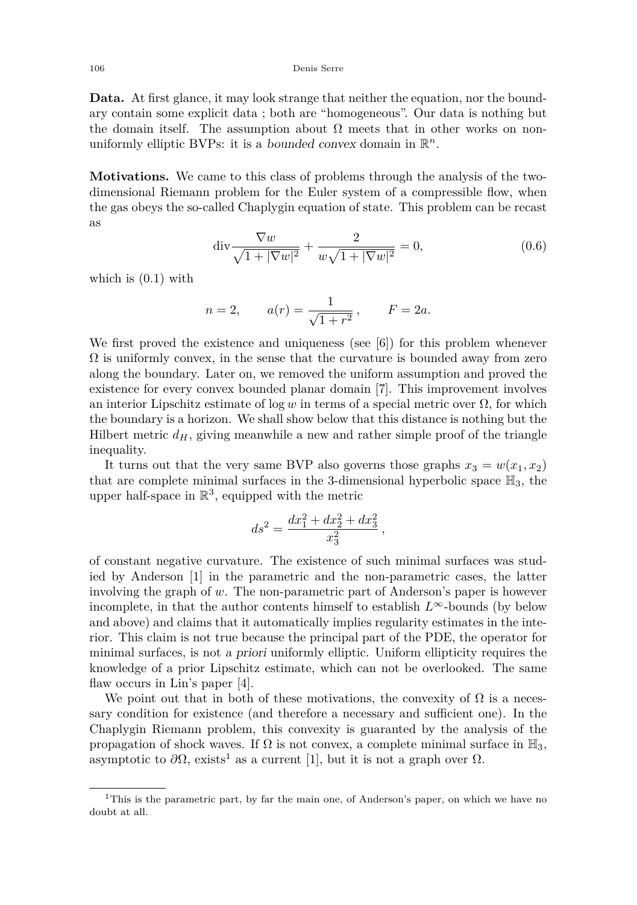**Data.** At first glance, it may look strange that neither the equation, nor the boundary contain some explicit data ; both are "homogeneous". Our data is nothing but the domain itself. The assumption about  $\Omega$  meets that in other works on nonuniformly elliptic BVPs: it is a *bounded convex* domain in  $\mathbb{R}^n$ .

**Motivations.** We came to this class of problems through the analysis of the twodimensional Riemann problem for the Euler system of a compressible flow, when the gas obeys the so-called Chaplygin equation of state. This problem can be recast as

<span id="page-2-0"></span>
$$
\operatorname{div} \frac{\nabla w}{\sqrt{1+|\nabla w|^2}} + \frac{2}{w\sqrt{1+|\nabla w|^2}} = 0, \tag{0.6}
$$

*,*

which is [\(0.1\)](#page-1-0) with

$$
n = 2,
$$
  $a(r) = \frac{1}{\sqrt{1 + r^2}},$   $F = 2a.$ 

We first proved the existence and uniqueness (see [\[6\]](#page-13-1)) for this problem whenever  $\Omega$  is uniformly convex, in the sense that the curvature is bounded away from zero along the boundary. Later on, we removed the uniform assumption and proved the existence for every convex bounded planar domain [\[7\]](#page-13-0). This improvement involves an interior Lipschitz estimate of log *w* in terms of a special metric over  $\Omega$ , for which the boundary is a horizon. We shall show below that this distance is nothing but the Hilbert metric  $d_H$ , giving meanwhile a new and rather simple proof of the triangle inequality.

It turns out that the very same BVP also governs those graphs  $x_3 = w(x_1, x_2)$ that are complete minimal surfaces in the 3-dimensional hyperbolic space  $\mathbb{H}_3$ , the upper half-space in  $\mathbb{R}^3$ , equipped with the metric

$$
ds^2 = \frac{dx_1^2 + dx_2^2 + dx_3^2}{x_3^2}
$$

of constant negative curvature. The existence of such minimal surfaces was studied by Anderson [\[1\]](#page-13-2) in the parametric and the non-parametric cases, the latter involving the graph of *w*. The non-parametric part of Anderson's paper is however incomplete, in that the author contents himself to establish  $L^{\infty}$ -bounds (by below and above) and claims that it automatically implies regularity estimates in the interior. This claim is not true because the principal part of the PDE, the operator for minimal surfaces, is not a priori uniformly elliptic. Uniform ellipticity requires the knowledge of a prior Lipschitz estimate, which can not be overlooked. The same flaw occurs in Lin's paper [\[4\]](#page-13-3).

We point out that in both of these motivations, the convexity of  $\Omega$  is a necessary condition for existence (and therefore a necessary and sufficient one). In the Chaplygin Riemann problem, this convexity is guaranted by the analysis of the propagation of shock waves. If  $\Omega$  is not convex, a complete minimal surface in  $\mathbb{H}_3$ , asymptotic to  $\partial\Omega$ , exists<sup>1</sup> as a current [\[1\]](#page-13-2), but it is not a graph over  $\Omega$ .

<sup>&</sup>lt;sup>1</sup>This is the parametric part, by far the main one, of Anderson's paper, on which we have no doubt at all.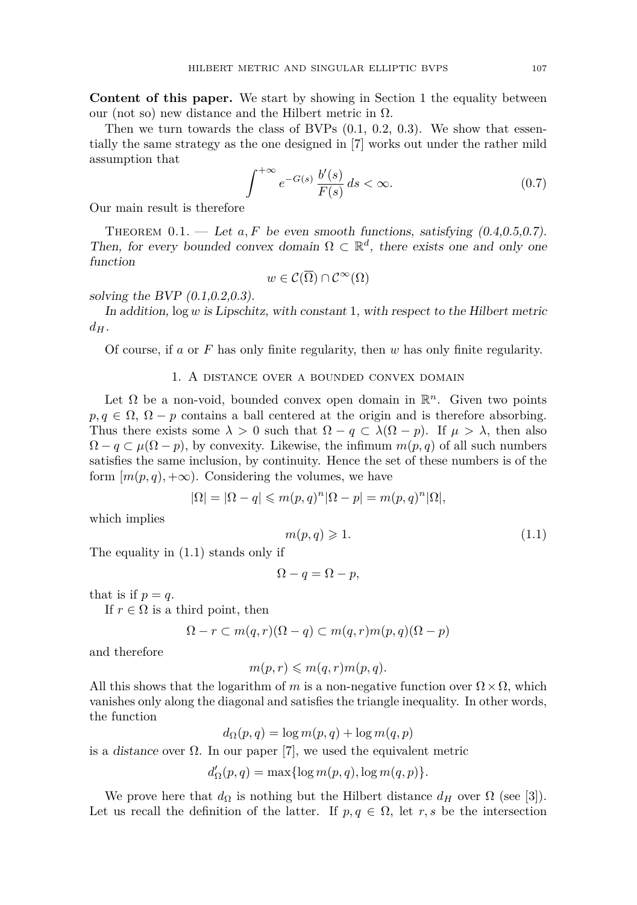**Content of this paper.** We start by showing in Section [1](#page-3-0) the equality between our (not so) new distance and the Hilbert metric in  $\Omega$ .

Then we turn towards the class of BVPs  $(0.1, 0.2, 0.3)$  $(0.1, 0.2, 0.3)$  $(0.1, 0.2, 0.3)$  $(0.1, 0.2, 0.3)$  $(0.1, 0.2, 0.3)$ . We show that essentially the same strategy as the one designed in [\[7\]](#page-13-0) works out under the rather mild assumption that

<span id="page-3-1"></span>
$$
\int^{+\infty} e^{-G(s)} \frac{b'(s)}{F(s)} ds < \infty.
$$
 (0.7)

Our main result is therefore

<span id="page-3-3"></span>THEOREM  $0.1.$  — Let  $a, F$  be even smooth functions, satisfying  $(0.4, 0.5, 0.7)$  $(0.4, 0.5, 0.7)$  $(0.4, 0.5, 0.7)$  $(0.4, 0.5, 0.7)$  $(0.4, 0.5, 0.7)$ . Then, for every bounded convex domain  $\Omega \subset \mathbb{R}^d$ , there exists one and only one function

$$
w\in\mathcal{C}(\overline{\Omega})\cap\mathcal{C}^{\infty}(\Omega)
$$

solving the BVP [\(0.1,0.2,0.3\)](#page-1-0).

In addition,  $log w$  is Lipschitz, with constant 1, with respect to the Hilbert metric  $d_H$ .

Of course, if *a* or *F* has only finite regularity, then *w* has only finite regularity.

#### 1. A distance over a bounded convex domain

<span id="page-3-0"></span>Let  $\Omega$  be a non-void, bounded convex open domain in  $\mathbb{R}^n$ . Given two points  $p, q \in \Omega$ ,  $\Omega - p$  contains a ball centered at the origin and is therefore absorbing. Thus there exists some  $\lambda > 0$  such that  $\Omega - q \subset \lambda(\Omega - p)$ . If  $\mu > \lambda$ , then also  $\Omega - q \subset \mu(\Omega - p)$ , by convexity. Likewise, the infimum  $m(p, q)$  of all such numbers satisfies the same inclusion, by continuity. Hence the set of these numbers is of the form  $[m(p, q), +\infty)$ . Considering the volumes, we have

$$
|\Omega|=|\Omega-q|\leqslant m(p,q)^n|\Omega-p|=m(p,q)^n|\Omega|,
$$

which implies

<span id="page-3-2"></span>
$$
m(p,q) \geqslant 1. \tag{1.1}
$$

The equality in [\(1.1\)](#page-3-2) stands only if

$$
\Omega - q = \Omega - p,
$$

that is if  $p = q$ .

If  $r \in \Omega$  is a third point, then

$$
\Omega - r \subset m(q, r)(\Omega - q) \subset m(q, r)m(p, q)(\Omega - p)
$$

and therefore

$$
m(p,r) \leqslant m(q,r)m(p,q).
$$

All this shows that the logarithm of *m* is a non-negative function over  $\Omega \times \Omega$ , which vanishes only along the diagonal and satisfies the triangle inequality. In other words, the function

 $d_{\Omega}(p,q) = \log m(p,q) + \log m(q,p)$ 

is a distance over  $\Omega$ . In our paper [\[7\]](#page-13-0), we used the equivalent metric

$$
d'_{\Omega}(p,q) = \max\{\log m(p,q), \log m(q,p)\}.
$$

We prove here that  $d_{\Omega}$  is nothing but the Hilbert distance  $d_H$  over  $\Omega$  (see [\[3\]](#page-13-4)). Let us recall the definition of the latter. If  $p, q \in \Omega$ , let  $r, s$  be the intersection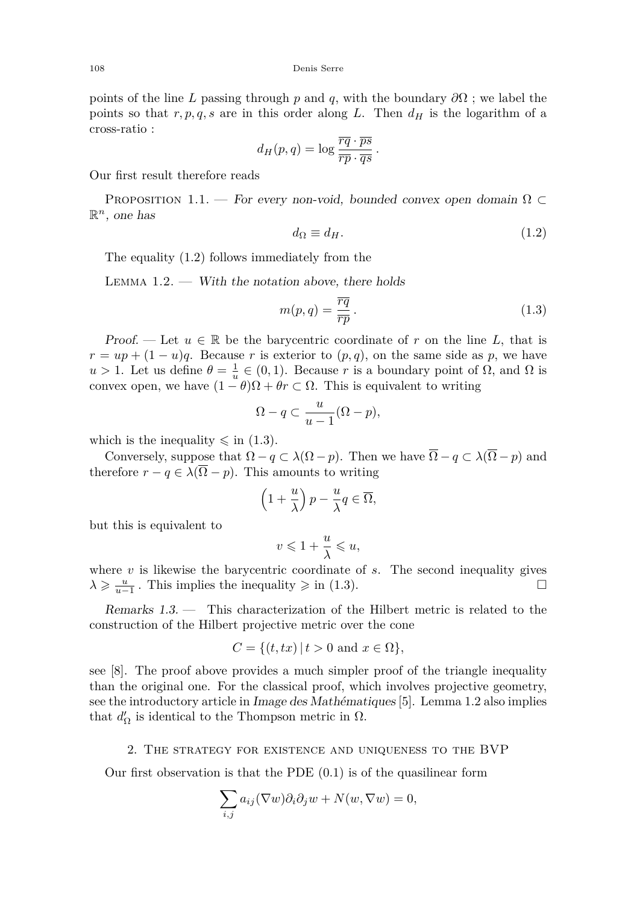points of the line *L* passing through *p* and *q*, with the boundary  $\partial\Omega$ ; we label the points so that  $r, p, q, s$  are in this order along *L*. Then  $d<sub>H</sub>$  is the logarithm of a cross-ratio :

$$
d_H(p,q) = \log \frac{\overline{rq} \cdot \overline{ps}}{\overline{rp} \cdot \overline{qs}}.
$$

Our first result therefore reads

PROPOSITION 1.1. — For every non-void, bounded convex open domain  $\Omega \subset$  $\mathbb{R}^n$ , one has

<span id="page-4-0"></span>
$$
d_{\Omega} \equiv d_H. \tag{1.2}
$$

The equality [\(1.2\)](#page-4-0) follows immediately from the

<span id="page-4-2"></span>LEMMA  $1.2.$  — With the notation above, there holds

<span id="page-4-1"></span>
$$
m(p,q) = \frac{\overline{rq}}{\overline{rp}}.
$$
\n(1.3)

Proof. — Let  $u \in \mathbb{R}$  be the barycentric coordinate of r on the line L, that is  $r = up + (1 - u)q$ . Because *r* is exterior to  $(p, q)$ , on the same side as *p*, we have *u* > 1. Let us define  $θ = \frac{1}{u} ∈ (0,1)$ . Because *r* is a boundary point of Ω, and Ω is convex open, we have  $(1 - \theta)\Omega + \theta r \subset \Omega$ . This is equivalent to writing

$$
\Omega - q \subset \frac{u}{u-1}(\Omega - p),
$$

which is the inequality  $\leq$  in [\(1.3\)](#page-4-1).

Conversely, suppose that  $\Omega - q \subset \lambda(\Omega - p)$ . Then we have  $\overline{\Omega} - q \subset \lambda(\overline{\Omega} - p)$  and therefore  $r - q \in \lambda(\overline{\Omega} - p)$ . This amounts to writing

$$
\left(1+\frac{u}{\lambda}\right)p-\frac{u}{\lambda}q\in\overline{\Omega},
$$

but this is equivalent to

$$
v \leqslant 1 + \frac{u}{\lambda} \leqslant u,
$$

where *v* is likewise the barycentric coordinate of *s*. The second inequality gives  $\lambda \geqslant \frac{u}{u-1}$ . This implies the inequality  $\geqslant$  in [\(1.3\)](#page-4-1).

Remarks 1.3. — This characterization of the Hilbert metric is related to the construction of the Hilbert projective metric over the cone

$$
C = \{(t, tx) | t > 0 \text{ and } x \in \Omega\},\
$$

see [\[8\]](#page-13-5). The proof above provides a much simpler proof of the triangle inequality than the original one. For the classical proof, which involves projective geometry, see the introductory article in Image des Mathématiques [\[5\]](#page-13-6). Lemma [1.2](#page-4-2) also implies that  $d'_{\Omega}$  is identical to the Thompson metric in  $\Omega$ .

#### 2. The strategy for existence and uniqueness to the BVP

Our first observation is that the PDE  $(0.1)$  is of the quasilinear form

$$
\sum_{i,j} a_{ij} (\nabla w) \partial_i \partial_j w + N(w, \nabla w) = 0,
$$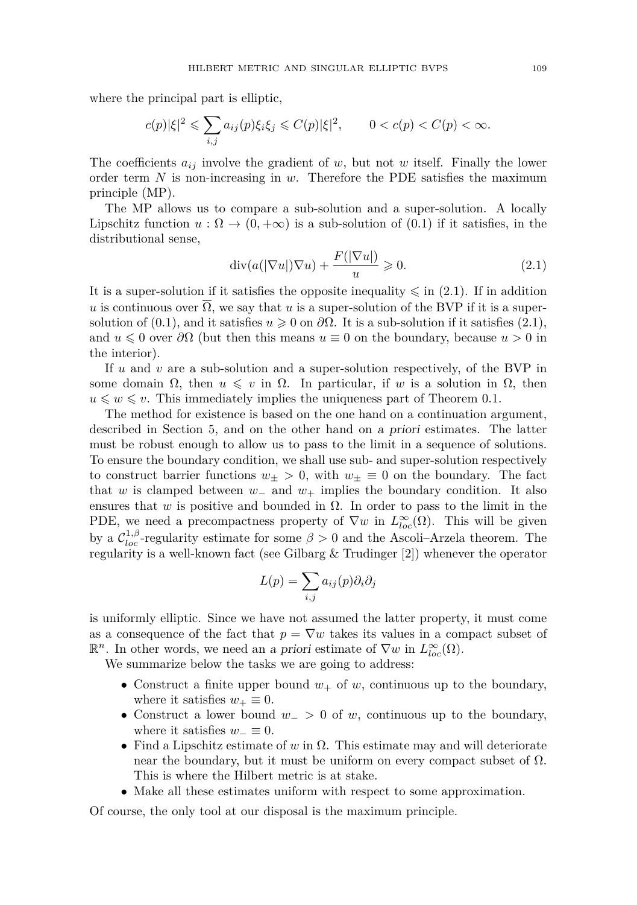where the principal part is elliptic,

$$
c(p)|\xi|^2 \leqslant \sum_{i,j} a_{ij}(p)\xi_i\xi_j \leqslant C(p)|\xi|^2, \qquad 0 < c(p) < C(p) < \infty.
$$

The coefficients  $a_{ij}$  involve the gradient of *w*, but not *w* itself. Finally the lower order term *N* is non-increasing in *w*. Therefore the PDE satisfies the maximum principle (MP).

The MP allows us to compare a sub-solution and a super-solution. A locally Lipschitz function  $u : \Omega \to (0, +\infty)$  is a sub-solution of  $(0.1)$  if it satisfies, in the distributional sense,

<span id="page-5-0"></span>
$$
\operatorname{div}(a(|\nabla u|)\nabla u) + \frac{F(|\nabla u|)}{u} \ge 0. \tag{2.1}
$$

It is a super-solution if it satisfies the opposite inequality  $\leq$  in [\(2.1\)](#page-5-0). If in addition *u* is continuous over  $\overline{\Omega}$ , we say that *u* is a super-solution of the BVP if it is a supersolution of  $(0.1)$ , and it satisfies  $u \geq 0$  on  $\partial\Omega$ . It is a sub-solution if it satisfies  $(2.1)$ , and  $u \leq 0$  over  $\partial\Omega$  (but then this means  $u \equiv 0$  on the boundary, because  $u > 0$  in the interior).

If *u* and *v* are a sub-solution and a super-solution respectively, of the BVP in some domain  $\Omega$ , then  $u \leq v$  in  $\Omega$ . In particular, if w is a solution in  $\Omega$ , then  $u \leq v \leq v$ . This immediately implies the uniqueness part of Theorem [0.1.](#page-3-3)

The method for existence is based on the one hand on a continuation argument, described in Section [5,](#page-11-0) and on the other hand on a priori estimates. The latter must be robust enough to allow us to pass to the limit in a sequence of solutions. To ensure the boundary condition, we shall use sub- and super-solution respectively to construct barrier functions  $w_{\pm} > 0$ , with  $w_{\pm} \equiv 0$  on the boundary. The fact that *w* is clamped between *w*<sup>−</sup> and *w*<sup>+</sup> implies the boundary condition. It also ensures that  $w$  is positive and bounded in  $\Omega$ . In order to pass to the limit in the PDE, we need a precompactness property of  $\nabla w$  in  $L^{\infty}_{loc}(\Omega)$ . This will be given by a  $\mathcal{C}_{loc}^{1,\beta}$ -regularity estimate for some  $\beta > 0$  and the Ascoli–Arzela theorem. The regularity is a well-known fact (see Gilbarg & Trudinger [\[2\]](#page-13-7)) whenever the operator

$$
L(p) = \sum_{i,j} a_{ij}(p) \partial_i \partial_j
$$

is uniformly elliptic. Since we have not assumed the latter property, it must come as a consequence of the fact that  $p = \nabla w$  takes its values in a compact subset of **R**<sup>*n*</sup>. In other words, we need an a priori estimate of  $\nabla w$  in  $L^{\infty}_{loc}(\Omega)$ .

We summarize below the tasks we are going to address:

- Construct a finite upper bound  $w_+$  of  $w$ , continuous up to the boundary, where it satisfies  $w_+ \equiv 0$ .
- Construct a lower bound *w*<sup>−</sup> *>* 0 of *w*, continuous up to the boundary, where it satisfies  $w_-\equiv 0$ .
- Find a Lipschitz estimate of  $w$  in  $\Omega$ . This estimate may and will deteriorate near the boundary, but it must be uniform on every compact subset of  $\Omega$ . This is where the Hilbert metric is at stake.
- Make all these estimates uniform with respect to some approximation.

Of course, the only tool at our disposal is the maximum principle.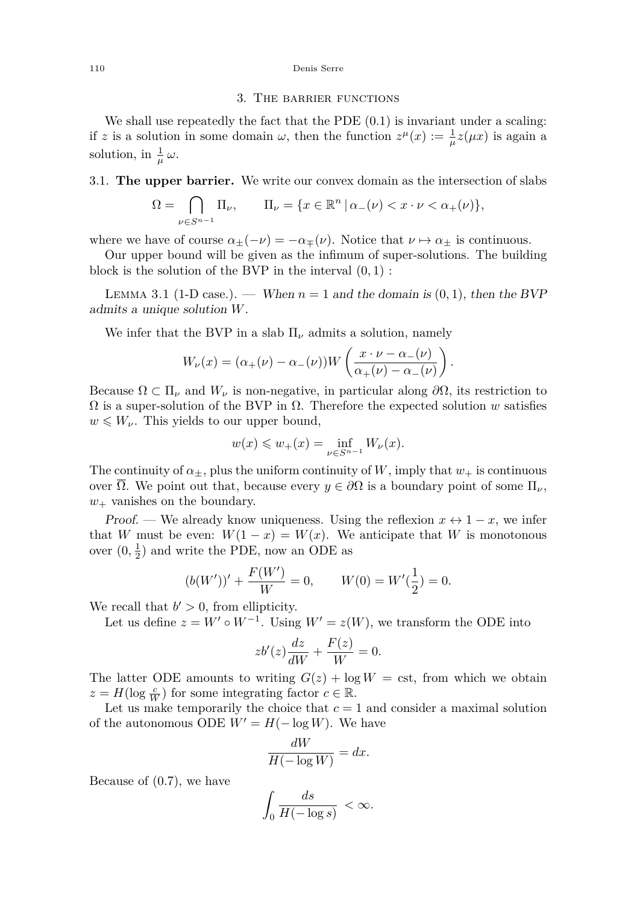#### 110 Denis Serre

#### 3. The barrier functions

We shall use repeatedly the fact that the PDE  $(0.1)$  is invariant under a scaling: if *z* is a solution in some domain  $\omega$ , then the function  $z^{\mu}(x) := \frac{1}{\mu}z(\mu x)$  is again a solution, in  $\frac{1}{\mu}\omega$ .

#### 3.1. **The upper barrier.** We write our convex domain as the intersection of slabs

$$
\Omega = \bigcap_{\nu \in S^{n-1}} \Pi_{\nu}, \qquad \Pi_{\nu} = \{ x \in \mathbb{R}^n \, | \, \alpha_{-}(\nu) < x \cdot \nu < \alpha_{+}(\nu) \},
$$

where we have of course  $\alpha_{\pm}(-\nu) = -\alpha_{\mp}(\nu)$ . Notice that  $\nu \mapsto \alpha_{\pm}$  is continuous.

Our upper bound will be given as the infimum of super-solutions. The building block is the solution of the BVP in the interval (0*,* 1) :

<span id="page-6-0"></span>LEMMA 3.1 (1-D case.). — When  $n = 1$  and the domain is  $(0, 1)$ , then the BVP admits a unique solution *W*.

We infer that the BVP in a slab  $\Pi_{\nu}$  admits a solution, namely

$$
W_{\nu}(x) = (\alpha_{+}(\nu) - \alpha_{-}(\nu))W\left(\frac{x \cdot \nu - \alpha_{-}(\nu)}{\alpha_{+}(\nu) - \alpha_{-}(\nu)}\right).
$$

Because  $\Omega \subset \Pi_{\nu}$  and  $W_{\nu}$  is non-negative, in particular along  $\partial \Omega$ , its restriction to  $\Omega$  is a super-solution of the BVP in  $\Omega$ . Therefore the expected solution *w* satisfies  $w \leqslant W_{\nu}$ . This yields to our upper bound,

$$
w(x) \leq w_{+}(x) = \inf_{\nu \in S^{n-1}} W_{\nu}(x).
$$

The continuity of  $\alpha_{\pm}$ , plus the uniform continuity of *W*, imply that  $w_+$  is continuous over  $\overline{\Omega}$ . We point out that, because every  $y \in \partial \Omega$  is a boundary point of some  $\Pi_{\nu}$ , *w*<sup>+</sup> vanishes on the boundary.

Proof. — We already know uniqueness. Using the reflexion  $x \leftrightarrow 1-x$ , we infer that *W* must be even:  $W(1-x) = W(x)$ . We anticipate that *W* is monotonous over  $(0, \frac{1}{2})$  and write the PDE, now an ODE as

$$
(b(W'))' + \frac{F(W')}{W} = 0, \qquad W(0) = W'(\frac{1}{2}) = 0.
$$

We recall that  $b' > 0$ , from ellipticity.

Let us define  $z = W' \circ W^{-1}$ . Using  $W' = z(W)$ , we transform the ODE into

$$
zb'(z)\frac{dz}{dW} + \frac{F(z)}{W} = 0.
$$

The latter ODE amounts to writing  $G(z) + \log W = \text{cst}$ , from which we obtain  $z = H(\log \frac{c}{W})$  for some integrating factor  $c \in \mathbb{R}$ .

Let us make temporarily the choice that  $c = 1$  and consider a maximal solution of the autonomous ODE  $W' = H(-\log W)$ . We have

$$
\frac{dW}{H(-\log W)} = dx.
$$

Because of [\(0.7\)](#page-3-1), we have

$$
\int_0 \frac{ds}{H(-\log s)} < \infty.
$$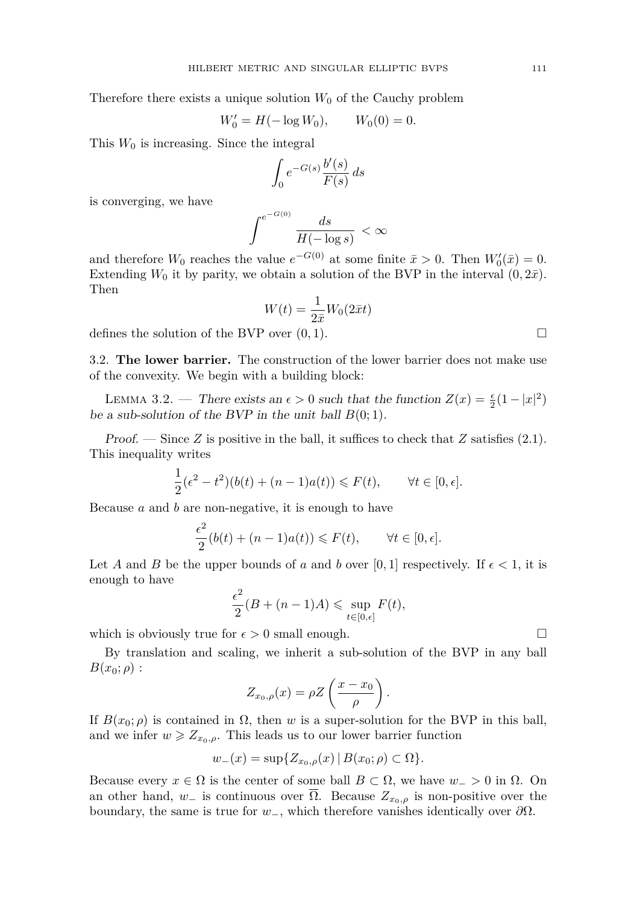Therefore there exists a unique solution  $W_0$  of the Cauchy problem

$$
W_0' = H(-\log W_0), \qquad W_0(0) = 0.
$$

This  $W_0$  is increasing. Since the integral

$$
\int_0^{\ } e^{-G(s)}\frac{b'(s)}{F(s)}\,ds
$$

is converging, we have

$$
\int^{e^{-G(0)}} \frac{ds}{H(-\log s)} < \infty
$$

and therefore  $W_0$  reaches the value  $e^{-G(0)}$  at some finite  $\bar{x} > 0$ . Then  $W'_0(\bar{x}) = 0$ . Extending  $W_0$  it by parity, we obtain a solution of the BVP in the interval  $(0, 2\bar{x})$ . Then

$$
W(t) = \frac{1}{2\bar{x}}W_0(2\bar{x}t)
$$

defines the solution of the BVP over  $(0, 1)$ .

3.2. **The lower barrier.** The construction of the lower barrier does not make use of the convexity. We begin with a building block:

LEMMA 3.2. — There exists an  $\epsilon > 0$  such that the function  $Z(x) = \frac{\epsilon}{2}(1 - |x|^2)$ be a sub-solution of the BVP in the unit ball  $B(0;1)$ .

Proof. — Since Z is positive in the ball, it suffices to check that  $Z$  satisfies [\(2.1\)](#page-5-0). This inequality writes

$$
\frac{1}{2}(\epsilon^2 - t^2)(b(t) + (n-1)a(t)) \le F(t), \qquad \forall t \in [0, \epsilon].
$$

Because *a* and *b* are non-negative, it is enough to have

$$
\frac{\epsilon^2}{2}(b(t) + (n-1)a(t)) \le F(t), \qquad \forall t \in [0, \epsilon].
$$

Let *A* and *B* be the upper bounds of *a* and *b* over [0, 1] respectively. If  $\epsilon < 1$ , it is enough to have

$$
\frac{\epsilon^2}{2}(B + (n-1)A) \leq \sup_{t \in [0,\epsilon]} F(t),
$$

which is obviously true for  $\epsilon > 0$  small enough.

By translation and scaling, we inherit a sub-solution of the BVP in any ball  $B(x_0; \rho)$ :

$$
Z_{x_0,\rho}(x) = \rho Z \left(\frac{x - x_0}{\rho}\right).
$$

If  $B(x_0; \rho)$  is contained in  $\Omega$ , then *w* is a super-solution for the BVP in this ball, and we infer  $w \ge Z_{x_0, \rho}$ . This leads us to our lower barrier function

$$
w_{-}(x) = \sup \{ Z_{x_0,\rho}(x) \, | \, B(x_0;\rho) \subset \Omega \}.
$$

Because every  $x \in \Omega$  is the center of some ball  $B \subset \Omega$ , we have  $w_$  > 0 in  $\Omega$ . On an other hand,  $w_$  is continuous over  $\overline{\Omega}$ . Because  $Z_{x_0,\rho}$  is non-positive over the boundary, the same is true for  $w_$ , which therefore vanishes identically over  $\partial\Omega$ .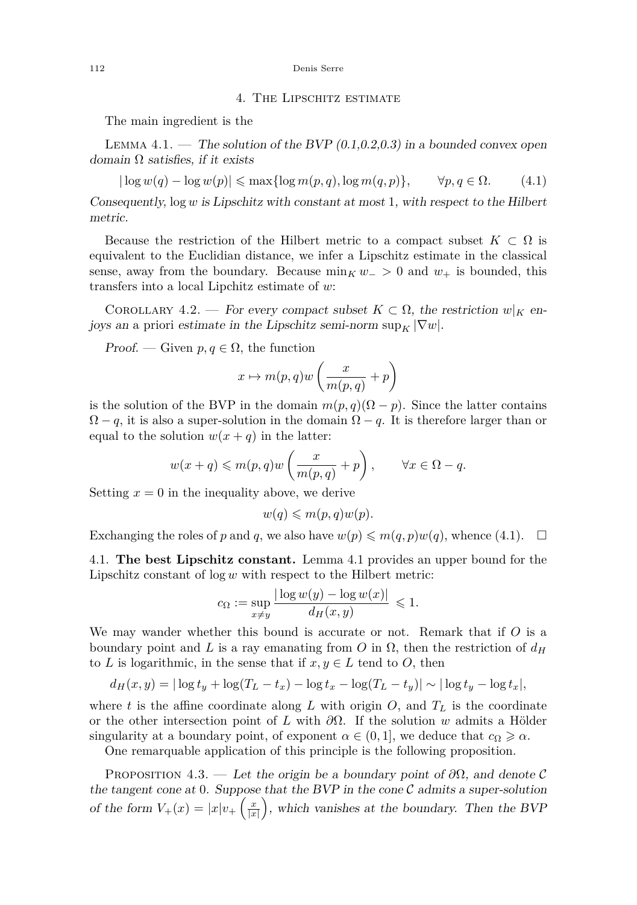#### 112 Denis Serre

#### 4. The Lipschitz estimate

The main ingredient is the

<span id="page-8-1"></span>LEMMA 4.1. — The solution of the BVP  $(0.1, 0.2, 0.3)$  in a bounded convex open domain  $\Omega$  satisfies, if it exists

<span id="page-8-0"></span>
$$
|\log w(q) - \log w(p)| \le \max\{\log m(p, q), \log m(q, p)\}, \qquad \forall p, q \in \Omega. \tag{4.1}
$$

Consequently, log *w* is Lipschitz with constant at most 1, with respect to the Hilbert metric.

Because the restriction of the Hilbert metric to a compact subset  $K \subset \Omega$  is equivalent to the Euclidian distance, we infer a Lipschitz estimate in the classical sense, away from the boundary. Because  $\min_K w_->0$  and  $w_+$  is bounded, this transfers into a local Lipchitz estimate of *w*:

COROLLARY 4.2. — For every compact subset  $K \subset \Omega$ , the restriction  $w|_K$  enjoys an a priori estimate in the Lipschitz semi-norm  $\sup_K |\nabla w|$ .

*Proof.* — Given  $p, q \in \Omega$ , the function

$$
x \mapsto m(p,q)w\left(\frac{x}{m(p,q)} + p\right)
$$

is the solution of the BVP in the domain  $m(p,q)(\Omega - p)$ . Since the latter contains  $\Omega - q$ , it is also a super-solution in the domain  $\Omega - q$ . It is therefore larger than or equal to the solution  $w(x + q)$  in the latter:

$$
w(x+q) \leq m(p,q)w\left(\frac{x}{m(p,q)}+p\right), \qquad \forall x \in \Omega - q.
$$

Setting  $x = 0$  in the inequality above, we derive

$$
w(q) \leqslant m(p,q)w(p).
$$

Exchanging the roles of *p* and *q*, we also have  $w(p) \leq m(q, p)w(q)$ , whence [\(4.1\)](#page-8-0).  $\Box$ 

4.1. **The best Lipschitz constant.** Lemma [4.1](#page-8-1) provides an upper bound for the Lipschitz constant of log *w* with respect to the Hilbert metric:

$$
c_{\Omega} := \sup_{x \neq y} \frac{|\log w(y) - \log w(x)|}{d_H(x, y)} \leq 1.
$$

We may wander whether this bound is accurate or not. Remark that if *O* is a boundary point and L is a ray emanating from O in  $\Omega$ , then the restriction of  $d_H$ to *L* is logarithmic, in the sense that if  $x, y \in L$  tend to *O*, then

$$
d_H(x,y) = |\log t_y + \log(T_L - t_x) - \log t_x - \log(T_L - t_y)| \sim |\log t_y - \log t_x|,
$$

where *t* is the affine coordinate along *L* with origin  $O$ , and  $T<sub>L</sub>$  is the coordinate or the other intersection point of *L* with *∂*Ω. If the solution *w* admits a Hölder singularity at a boundary point, of exponent  $\alpha \in (0, 1]$ , we deduce that  $c_{\Omega} \geq \alpha$ .

One remarquable application of this principle is the following proposition.

<span id="page-8-2"></span>PROPOSITION 4.3. — Let the origin be a boundary point of  $\partial\Omega$ , and denote C the tangent cone at 0. Suppose that the BVP in the cone  $\mathcal C$  admits a super-solution of the form  $V_{+}(x) = |x|v_{+}\left(\frac{x}{|x|}\right)$ , which vanishes at the boundary. Then the BVP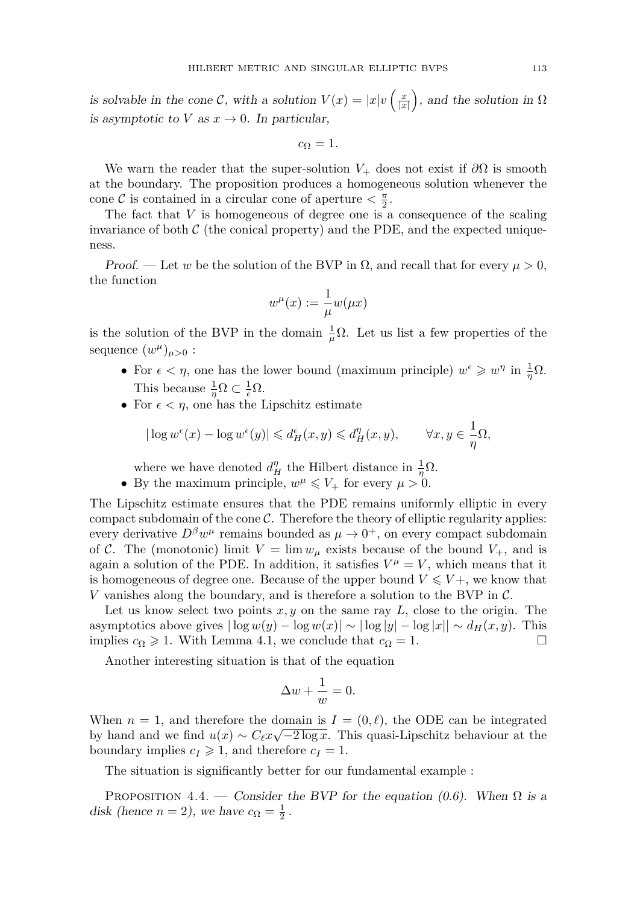is solvable in the cone C, with a solution  $V(x) = |x|v\left(\frac{x}{|x|}\right)$ , and the solution in  $\Omega$ is asymptotic to *V* as  $x \to 0$ . In particular,

 $c_{\Omega} = 1$ .

We warn the reader that the super-solution  $V_+$  does not exist if  $\partial\Omega$  is smooth at the boundary. The proposition produces a homogeneous solution whenever the cone C is contained in a circular cone of aperture  $\langle \frac{\pi}{2}, \frac{\pi}{2} \rangle$ 

The fact that *V* is homogeneous of degree one is a consequence of the scaling invariance of both  $\mathcal C$  (the conical property) and the PDE, and the expected uniqueness.

Proof. — Let *w* be the solution of the BVP in  $\Omega$ , and recall that for every  $\mu > 0$ , the function

$$
w^{\mu}(x) := \frac{1}{\mu}w(\mu x)
$$

is the solution of the BVP in the domain  $\frac{1}{\mu}\Omega$ . Let us list a few properties of the sequence  $(w^{\mu})_{\mu>0}$  :

- For  $\epsilon < \eta$ , one has the lower bound (maximum principle)  $w^{\epsilon} \geq w^{\eta}$  in  $\frac{1}{\eta} \Omega$ . This because  $\frac{1}{\eta} \Omega \subset \frac{1}{\epsilon} \Omega$ .
- For  $\epsilon < \eta$ , one has the Lipschitz estimate

$$
|\log w^\epsilon(x)-\log w^\epsilon(y)|\leqslant d_H^\epsilon(x,y)\leqslant d_H^\eta(x,y),\qquad \forall x,y\in \frac{1}{\eta}\Omega,
$$

where we have denoted  $d_H^{\eta}$  the Hilbert distance in  $\frac{1}{\eta}\Omega$ .

• By the maximum principle,  $w^{\mu} \leq V_+$  for every  $\mu > 0$ .

The Lipschitz estimate ensures that the PDE remains uniformly elliptic in every compact subdomain of the cone  $\mathcal{C}$ . Therefore the theory of elliptic regularity applies: every derivative  $D^{\beta}w^{\mu}$  remains bounded as  $\mu \to 0^{+}$ , on every compact subdomain of C. The (monotonic) limit  $V = \lim w_\mu$  exists because of the bound  $V_+$ , and is again a solution of the PDE. In addition, it satisfies  $V^{\mu} = V$ , which means that it is homogeneous of degree one. Because of the upper bound  $V \leq V +$ , we know that *V* vanishes along the boundary, and is therefore a solution to the BVP in C.

Let us know select two points *x, y* on the same ray *L*, close to the origin. The asymptotics above gives  $|\log w(y) - \log w(x)| \sim |\log |y| - \log |x|| \sim d_H(x, y)$ . This implies  $c_{\Omega} \geq 1$ . With Lemma [4.1,](#page-8-1) we conclude that  $c_{\Omega} = 1$ .

Another interesting situation is that of the equation

$$
\Delta w + \frac{1}{w} = 0.
$$

When  $n = 1$ , and therefore the domain is  $I = (0, \ell)$ , the ODE can be integrated by hand and we find  $u(x) \sim C_{\ell} x \sqrt{-2 \log x}$ . This quasi-Lipschitz behaviour at the boundary implies  $c_I \geq 1$ , and therefore  $c_I = 1$ .

The situation is significantly better for our fundamental example :

PROPOSITION 4.4. — Consider the BVP for the equation [\(0.6\)](#page-2-0). When  $\Omega$  is a disk (hence  $n = 2$ ), we have  $c_{\Omega} = \frac{1}{2}$ .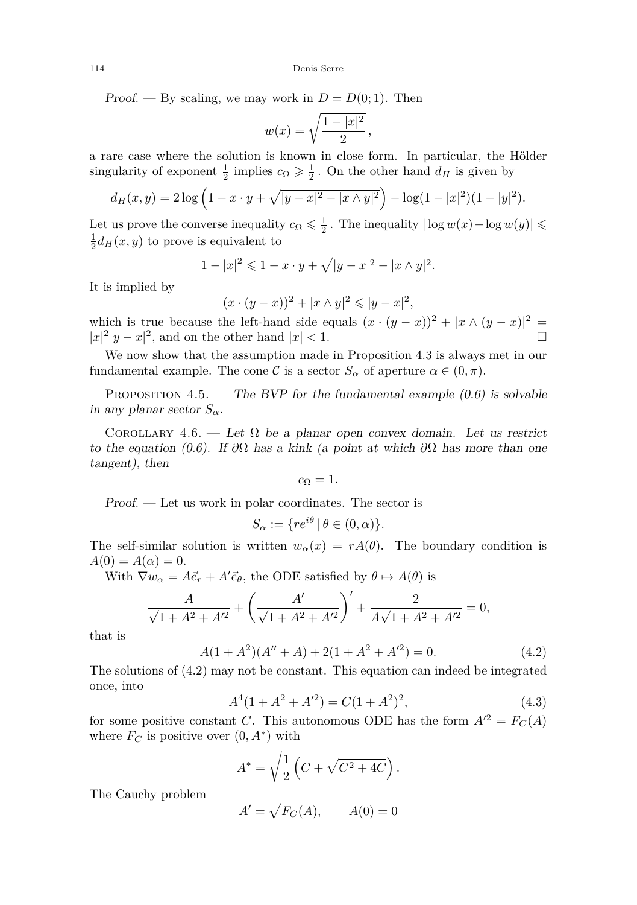114 Denis Serre

Proof. — By scaling, we may work in  $D = D(0, 1)$ . Then

$$
w(x) = \sqrt{\frac{1 - |x|^2}{2}},
$$

a rare case where the solution is known in close form. In particular, the Hölder singularity of exponent  $\frac{1}{2}$  implies  $c_{\Omega} \geqslant \frac{1}{2}$ . On the other hand  $d_H$  is given by

$$
d_H(x,y) = 2\log\left(1 - x \cdot y + \sqrt{|y-x|^2 - |x \wedge y|^2}\right) - \log(1 - |x|^2)(1 - |y|^2).
$$

Let us prove the converse inequality  $c_{\Omega} \leq \frac{1}{2}$ . The inequality  $|\log w(x) - \log w(y)| \leq$  $\frac{1}{2}d_H(x,y)$  to prove is equivalent to

$$
1 - |x|^2 \leq 1 - x \cdot y + \sqrt{|y - x|^2 - |x \wedge y|^2}.
$$

It is implied by

$$
(x \cdot (y - x))^2 + |x \wedge y|^2 \le |y - x|^2,
$$

which is true because the left-hand side equals  $(x \cdot (y-x))^2 + |x \wedge (y-x)|^2 =$  $|x|^2|y-x|^2$ , and on the other hand  $|x|<1$ .

We now show that the assumption made in Proposition [4.3](#page-8-2) is always met in our fundamental example. The cone C is a sector  $S_\alpha$  of aperture  $\alpha \in (0, \pi)$ .

PROPOSITION 4.5. — The BVP for the fundamental example  $(0.6)$  is solvable in any planar sector  $S_\alpha$ .

COROLLARY 4.6. — Let  $\Omega$  be a planar open convex domain. Let us restrict to the equation [\(0.6\)](#page-2-0). If *∂*Ω has a kink (a point at which *∂*Ω has more than one tangent), then

$$
c_{\Omega}=1.
$$

Proof. — Let us work in polar coordinates. The sector is

$$
S_{\alpha} := \{ re^{i\theta} \mid \theta \in (0, \alpha) \}.
$$

The self-similar solution is written  $w_{\alpha}(x) = rA(\theta)$ . The boundary condition is  $A(0) = A(\alpha) = 0.$ 

With  $\nabla w_{\alpha} = A \vec{e}_r + A' \vec{e}_{\theta}$ , the ODE satisfied by  $\theta \mapsto A(\theta)$  is

$$
\frac{A}{\sqrt{1+A^2+A'^2}} + \left(\frac{A'}{\sqrt{1+A^2+A'^2}}\right)' + \frac{2}{A\sqrt{1+A^2+A'^2}} = 0,
$$

that is

<span id="page-10-0"></span>
$$
A(1 + A2)(A'' + A) + 2(1 + A2 + A'2) = 0.
$$
 (4.2)

The solutions of [\(4.2\)](#page-10-0) may not be constant. This equation can indeed be integrated once, into

<span id="page-10-1"></span>
$$
A4(1 + A2 + A'2) = C(1 + A2)2,
$$
\n(4.3)

for some positive constant *C*. This autonomous ODE has the form  $A'^2 = F_C(A)$ where  $F_C$  is positive over  $(0, A^*)$  with

$$
A^* = \sqrt{\frac{1}{2} \left( C + \sqrt{C^2 + 4C} \right)}.
$$

The Cauchy problem

$$
A' = \sqrt{F_C(A)}, \qquad A(0) = 0
$$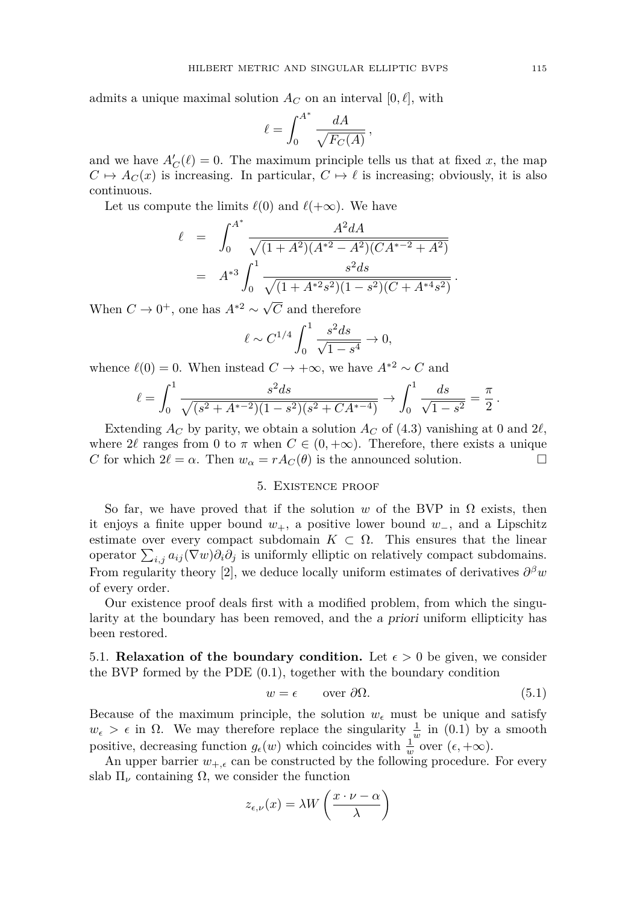admits a unique maximal solution  $A_C$  on an interval  $[0, \ell]$ , with

$$
\ell = \int_0^{A^*} \frac{dA}{\sqrt{F_C(A)}},
$$

and we have  $A'_{\mathcal{C}}(\ell) = 0$ . The maximum principle tells us that at fixed x, the map  $C \mapsto A_C(x)$  is increasing. In particular,  $C \mapsto \ell$  is increasing; obviously, it is also continuous.

Let us compute the limits  $\ell(0)$  and  $\ell(+\infty)$ . We have

$$
\ell = \int_0^{A^*} \frac{A^2 dA}{\sqrt{(1+A^2)(A^{*2}-A^2)(CA^{*-2}+A^2)}} = A^{*3} \int_0^1 \frac{s^2 ds}{\sqrt{(1+A^{*2}s^2)(1-s^2)(C+A^{*4}s^2)}}.
$$

When  $C \to 0^+$ , one has  $A^{*2} \sim \sqrt{ }$ *C* and therefore

$$
\ell \sim C^{1/4} \int_0^1 \frac{s^2 ds}{\sqrt{1 - s^4}} \to 0,
$$

whence  $\ell(0) = 0$ . When instead  $C \rightarrow +\infty$ , we have  $A^{*2} \sim C$  and

$$
\ell = \int_0^1 \frac{s^2 ds}{\sqrt{(s^2 + A^{*-2})(1 - s^2)(s^2 + CA^{*-4})}} \to \int_0^1 \frac{ds}{\sqrt{1 - s^2}} = \frac{\pi}{2}
$$

Extending  $A_C$  by parity, we obtain a solution  $A_C$  of [\(4.3\)](#page-10-1) vanishing at 0 and 2 $\ell$ , where  $2\ell$  ranges from 0 to  $\pi$  when  $C \in (0, +\infty)$ . Therefore, there exists a unique *C* for which  $2\ell = \alpha$ . Then  $w_{\alpha} = rA_C(\theta)$  is the announced solution.

#### 5. Existence proof

<span id="page-11-0"></span>So far, we have proved that if the solution *w* of the BVP in  $\Omega$  exists, then it enjoys a finite upper bound *w*+, a positive lower bound *w*−, and a Lipschitz estimate over every compact subdomain  $K \subset \Omega$ . This ensures that the linear operator  $\sum_{i,j} a_{ij} (\nabla w) \partial_i \partial_j$  is uniformly elliptic on relatively compact subdomains. From regularity theory [\[2\]](#page-13-7), we deduce locally uniform estimates of derivatives  $\partial^{\beta}w$ of every order.

Our existence proof deals first with a modified problem, from which the singularity at the boundary has been removed, and the a priori uniform ellipticity has been restored.

5.1. **Relaxation of the boundary condition.** Let  $\epsilon > 0$  be given, we consider the BVP formed by the PDE [\(0.1\)](#page-1-0), together with the boundary condition

<span id="page-11-1"></span>
$$
w = \epsilon \qquad \text{over } \partial \Omega. \tag{5.1}
$$

Because of the maximum principle, the solution  $w_{\epsilon}$  must be unique and satisfy  $w_{\epsilon} > \epsilon$  in  $\Omega$ . We may therefore replace the singularity  $\frac{1}{w}$  in [\(0.1\)](#page-1-0) by a smooth positive, decreasing function  $g_{\epsilon}(w)$  which coincides with  $\frac{1}{w}$  over  $(\epsilon, +\infty)$ .

An upper barrier  $w_{+, \epsilon}$  can be constructed by the following procedure. For every slab  $\Pi_{\nu}$  containing  $\Omega$ , we consider the function

$$
z_{\epsilon,\nu}(x) = \lambda W\left(\frac{x \cdot \nu - \alpha}{\lambda}\right)
$$

*.*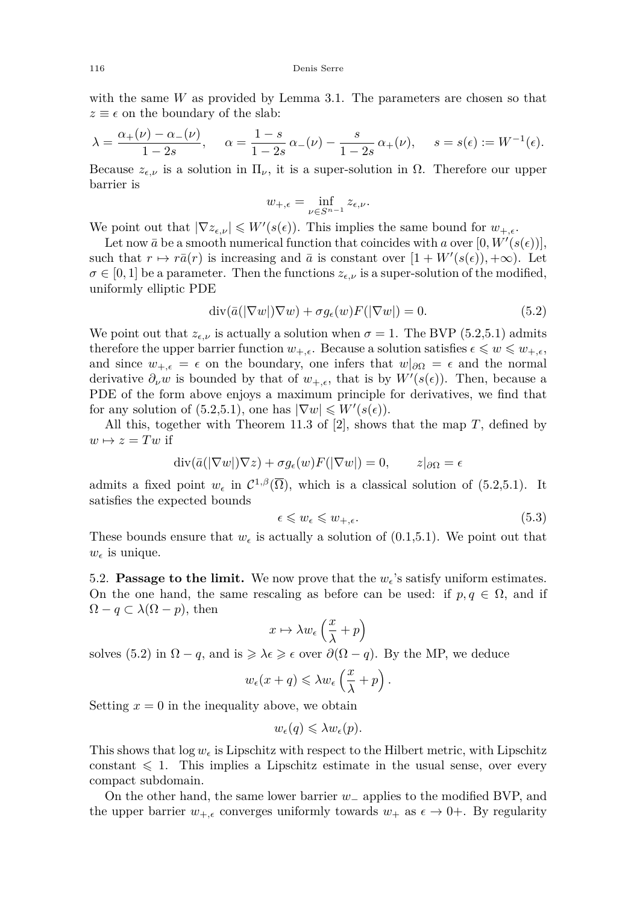with the same *W* as provided by Lemma [3.1.](#page-6-0) The parameters are chosen so that  $z \equiv \epsilon$  on the boundary of the slab:

$$
\lambda = \frac{\alpha_+(\nu) - \alpha_-(\nu)}{1 - 2s}, \quad \alpha = \frac{1 - s}{1 - 2s} \alpha_-(\nu) - \frac{s}{1 - 2s} \alpha_+(\nu), \quad s = s(\epsilon) := W^{-1}(\epsilon).
$$

Because  $z_{\epsilon,\nu}$  is a solution in  $\Pi_{\nu}$ , it is a super-solution in  $\Omega$ . Therefore our upper barrier is

$$
w_{+,\epsilon} = \inf_{\nu \in S^{n-1}} z_{\epsilon,\nu}.
$$

We point out that  $|\nabla z_{\epsilon,\nu}| \leqslant W'(s(\epsilon))$ . This implies the same bound for  $w_{+,\epsilon}$ .

Let now  $\bar{a}$  be a smooth numerical function that coincides with *a* over  $[0, W'(s(\epsilon))]$ , such that  $r \mapsto r\bar{a}(r)$  is increasing and  $\bar{a}$  is constant over  $[1 + W'(s(\epsilon)), +\infty)$ . Let  $\sigma \in [0,1]$  be a parameter. Then the functions  $z_{\epsilon,\nu}$  is a super-solution of the modified, uniformly elliptic PDE

<span id="page-12-0"></span>
$$
\operatorname{div}(\bar{a}(|\nabla w|)\nabla w) + \sigma g_{\epsilon}(w)F(|\nabla w|) = 0.
$$
\n(5.2)

We point out that  $z_{\epsilon,\nu}$  is actually a solution when  $\sigma = 1$ . The BVP [\(5.2](#page-12-0)[,5.1\)](#page-11-1) admits therefore the upper barrier function  $w_{+,\epsilon}$ . Because a solution satisfies  $\epsilon \leqslant w \leqslant w_{+,\epsilon}$ , and since  $w_{+,\epsilon} = \epsilon$  on the boundary, one infers that  $w|_{\partial\Omega} = \epsilon$  and the normal derivative  $\partial_{\nu}w$  is bounded by that of  $w_{+,\epsilon}$ , that is by  $W'(s(\epsilon))$ . Then, because a PDE of the form above enjoys a maximum principle for derivatives, we find that for any solution of  $(5.2,5.1)$  $(5.2,5.1)$ , one has  $|\nabla w| \leq W'(s(\epsilon)).$ 

All this, together with Theorem 11.3 of [\[2\]](#page-13-7), shows that the map *T*, defined by  $w \mapsto z = Tw$  if

$$
\operatorname{div}(\bar{a}(|\nabla w|)\nabla z) + \sigma g_{\epsilon}(w)F(|\nabla w|) = 0, \qquad z|_{\partial\Omega} = \epsilon
$$

admits a fixed point  $w_{\epsilon}$  in  $C^{1,\beta}(\overline{\Omega})$ , which is a classical solution of [\(5.2](#page-12-0)[,5.1\)](#page-11-1). It satisfies the expected bounds

$$
\epsilon \leqslant w_{\epsilon} \leqslant w_{+,\epsilon}.\tag{5.3}
$$

These bounds ensure that  $w_{\epsilon}$  is actually a solution of [\(0.1,](#page-1-0)[5.1\)](#page-11-1). We point out that  $w_{\epsilon}$  is unique.

5.2. **Passage to the limit.** We now prove that the  $w_{\epsilon}$ 's satisfy uniform estimates. On the one hand, the same rescaling as before can be used: if  $p, q \in \Omega$ , and if  $\Omega - q \subset \lambda(\Omega - p)$ , then

$$
x\mapsto \lambda w_\epsilon\left(\frac{x}{\lambda}+p\right)
$$

solves [\(5.2\)](#page-12-0) in  $\Omega - q$ , and is  $\geq \lambda \epsilon \geq \epsilon$  over  $\partial(\Omega - q)$ . By the MP, we deduce

$$
w_{\epsilon}(x+q) \leq \lambda w_{\epsilon} \left(\frac{x}{\lambda} + p\right).
$$

Setting  $x = 0$  in the inequality above, we obtain

$$
w_{\epsilon}(q) \leq \lambda w_{\epsilon}(p).
$$

This shows that  $\log w_{\epsilon}$  is Lipschitz with respect to the Hilbert metric, with Lipschitz constant  $\leq 1$ . This implies a Lipschitz estimate in the usual sense, over every compact subdomain.

On the other hand, the same lower barrier *w*<sup>−</sup> applies to the modified BVP, and the upper barrier  $w_{+,\epsilon}$  converges uniformly towards  $w_+$  as  $\epsilon \to 0^+$ . By regularity